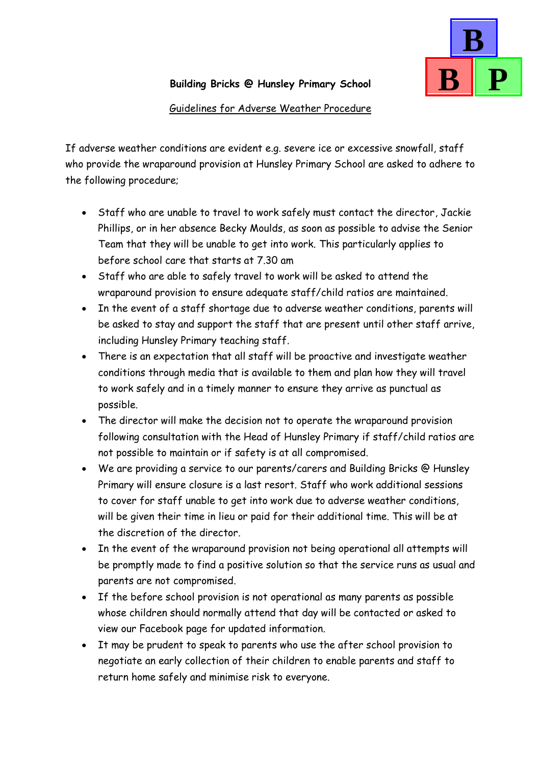

## **Building Bricks @ Hunsley Primary School**

## Guidelines for Adverse Weather Procedure

If adverse weather conditions are evident e.g. severe ice or excessive snowfall, staff who provide the wraparound provision at Hunsley Primary School are asked to adhere to the following procedure;

- Staff who are unable to travel to work safely must contact the director, Jackie Phillips, or in her absence Becky Moulds, as soon as possible to advise the Senior Team that they will be unable to get into work. This particularly applies to before school care that starts at 7.30 am
- Staff who are able to safely travel to work will be asked to attend the wraparound provision to ensure adequate staff/child ratios are maintained.
- In the event of a staff shortage due to adverse weather conditions, parents will be asked to stay and support the staff that are present until other staff arrive, including Hunsley Primary teaching staff.
- There is an expectation that all staff will be proactive and investigate weather conditions through media that is available to them and plan how they will travel to work safely and in a timely manner to ensure they arrive as punctual as possible.
- The director will make the decision not to operate the wraparound provision following consultation with the Head of Hunsley Primary if staff/child ratios are not possible to maintain or if safety is at all compromised.
- We are providing a service to our parents/carers and Building Bricks @ Hunsley Primary will ensure closure is a last resort. Staff who work additional sessions to cover for staff unable to get into work due to adverse weather conditions, will be given their time in lieu or paid for their additional time. This will be at the discretion of the director.
- In the event of the wraparound provision not being operational all attempts will be promptly made to find a positive solution so that the service runs as usual and parents are not compromised.
- If the before school provision is not operational as many parents as possible whose children should normally attend that day will be contacted or asked to view our Facebook page for updated information.
- It may be prudent to speak to parents who use the after school provision to negotiate an early collection of their children to enable parents and staff to return home safely and minimise risk to everyone.